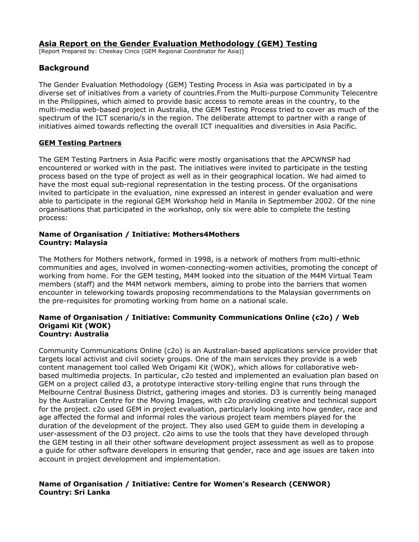# **Asia Report on the Gender Evaluation Methodology (GEM) Testing**

[Report Prepared by: Cheekay Cinco (GEM Regional Coordinator for Asia)]

# **Background**

The Gender Evaluation Methodology (GEM) Testing Process in Asia was participated in by a diverse set of initiatives from a variety of countries.From the Multi-purpose Community Telecentre in the Philippines, which aimed to provide basic access to remote areas in the country, to the multi-media web-based project in Australia, the GEM Testing Process tried to cover as much of the spectrum of the ICT scenario/s in the region. The deliberate attempt to partner with a range of initiatives aimed towards reflecting the overall ICT inequalities and diversities in Asia Pacific.

## **GEM Testing Partners**

The GEM Testing Partners in Asia Pacific were mostly organisations that the APCWNSP had encountered or worked with in the past. The initiatives were invited to participate in the testing process based on the type of project as well as in their geographical location. We had aimed to have the most equal sub-regional representation in the testing process. Of the organisations invited to participate in the evaluation, nine expressed an interest in gender evaluation and were able to participate in the regional GEM Workshop held in Manila in Septmember 2002. Of the nine organisations that participated in the workshop, only six were able to complete the testing process:

## **Name of Organisation / Initiative: Mothers4Mothers Country: Malaysia**

The Mothers for Mothers network, formed in 1998, is a network of mothers from multi-ethnic communities and ages, involved in women-connecting-women activities, promoting the concept of working from home. For the GEM testing, M4M looked into the situation of the M4M Virtual Team members (staff) and the M4M network members, aiming to probe into the barriers that women encounter in teleworking towards proposing recommendations to the Malaysian governments on the pre-requisites for promoting working from home on a national scale.

#### **Name of Organisation / Initiative: Community Communications Online (c2o) / Web Origami Kit (WOK) Country: Australia**

Community Communications Online (c2o) is an Australian-based applications service provider that targets local activist and civil society groups. One of the main services they provide is a web content management tool called Web Origami Kit (WOK), which allows for collaborative webbased multimedia projects. In particular, c2o tested and implemented an evaluation plan based on GEM on a project called d3, a prototype interactive story-telling engine that runs through the Melbourne Central Business District, gathering images and stories. D3 is currently being managed by the Australian Centre for the Moving Images, with c2o providing creative and technical support for the project. c2o used GEM in project evaluation, particularly looking into how gender, race and age affected the formal and informal roles the various project team members played for the duration of the development of the project. They also used GEM to guide them in developing a user-assessment of the D3 project. c2o aims to use the tools that they have developed through the GEM testing in all their other software development project assessment as well as to propose a guide for other software developers in ensuring that gender, race and age issues are taken into account in project development and implementation.

## **Name of Organisation / Initiative: Centre for Women's Research (CENWOR) Country: Sri Lanka**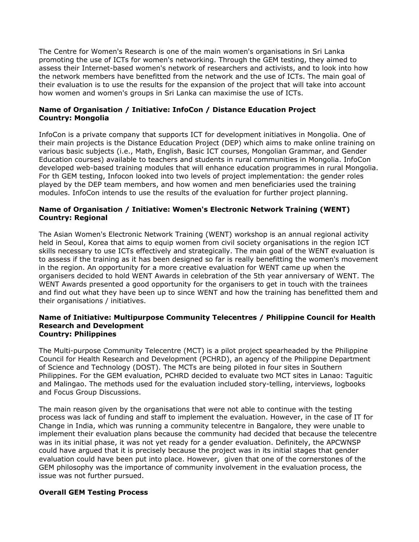The Centre for Women's Research is one of the main women's organisations in Sri Lanka promoting the use of ICTs for women's networking. Through the GEM testing, they aimed to assess their Internet-based women's network of researchers and activists, and to look into how the network members have benefitted from the network and the use of ICTs. The main goal of their evaluation is to use the results for the expansion of the project that will take into account how women and women's groups in Sri Lanka can maximise the use of ICTs.

## **Name of Organisation / Initiative: InfoCon / Distance Education Project Country: Mongolia**

InfoCon is a private company that supports ICT for development initiatives in Mongolia. One of their main projects is the Distance Education Project (DEP) which aims to make online training on various basic subjects (i.e., Math, English, Basic ICT courses, Mongolian Grammar, and Gender Education courses) available to teachers and students in rural communities in Mongolia. InfoCon developed web-based training modules that will enhance education programmes in rural Mongolia. For th GEM testing, Infocon looked into two levels of project implementation: the gender roles played by the DEP team members, and how women and men beneficiaries used the training modules. InfoCon intends to use the results of the evaluation for further project planning.

## **Name of Organisation / Initiative: Women's Electronic Network Training (WENT) Country: Regional**

The Asian Women's Electronic Network Training (WENT) workshop is an annual regional activity held in Seoul, Korea that aims to equip women from civil society organisations in the region ICT skills necessary to use ICTs effectively and strategically. The main goal of the WENT evaluation is to assess if the training as it has been designed so far is really benefitting the women's movement in the region. An opportunity for a more creative evaluation for WENT came up when the organisers decided to hold WENT Awards in celebration of the 5th year anniversary of WENT. The WENT Awards presented a good opportunity for the organisers to get in touch with the trainees and find out what they have been up to since WENT and how the training has benefitted them and their organisations / initiatives.

#### **Name of Initiative: Multipurpose Community Telecentres / Philippine Council for Health Research and Development Country: Philippines**

The Multi-purpose Community Telecentre (MCT) is a pilot project spearheaded by the Philippine Council for Health Research and Development (PCHRD), an agency of the Philippine Department of Science and Technology (DOST). The MCTs are being piloted in four sites in Southern Philippines. For the GEM evaluation, PCHRD decided to evaluate two MCT sites in Lanao: Taguitic and Malingao. The methods used for the evaluation included story-telling, interviews, logbooks and Focus Group Discussions.

The main reason given by the organisations that were not able to continue with the testing process was lack of funding and staff to implement the evaluation. However, in the case of IT for Change in India, which was running a community telecentre in Bangalore, they were unable to implement their evaluation plans because the community had decided that because the telecentre was in its initial phase, it was not yet ready for a gender evaluation. Definitely, the APCWNSP could have argued that it is precisely because the project was in its initial stages that gender evaluation could have been put into place. However, given that one of the cornerstones of the GEM philosophy was the importance of community involvement in the evaluation process, the issue was not further pursued.

### **Overall GEM Testing Process**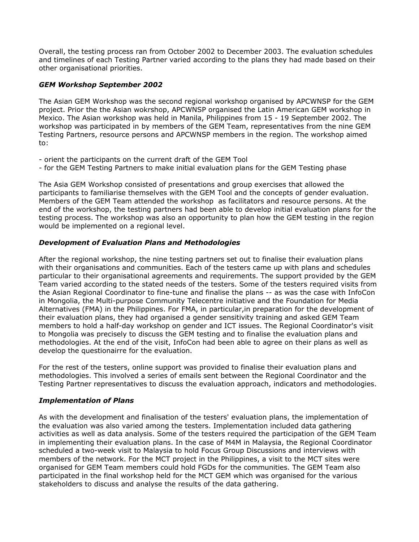Overall, the testing process ran from October 2002 to December 2003. The evaluation schedules and timelines of each Testing Partner varied according to the plans they had made based on their other organisational priorities.

## *GEM Workshop September 2002*

The Asian GEM Workshop was the second regional workshop organised by APCWNSP for the GEM project. Prior the the Asian wokrshop, APCWNSP organised the Latin American GEM workshop in Mexico. The Asian workshop was held in Manila, Philippines from 15 - 19 September 2002. The workshop was participated in by members of the GEM Team, representatives from the nine GEM Testing Partners, resource persons and APCWNSP members in the region. The workshop aimed to:

- orient the participants on the current draft of the GEM Tool
- for the GEM Testing Partners to make initial evaluation plans for the GEM Testing phase

The Asia GEM Workshop consisted of presentations and group exercises that allowed the participants to familiarise themselves with the GEM Tool and the concepts of gender evaluation. Members of the GEM Team attended the workshop as facilitators and resource persons. At the end of the workshop, the testing partners had been able to develop initial evaluation plans for the testing process. The workshop was also an opportunity to plan how the GEM testing in the region would be implemented on a regional level.

## *Development of Evaluation Plans and Methodologies*

After the regional workshop, the nine testing partners set out to finalise their evaluation plans with their organisations and communities. Each of the testers came up with plans and schedules particular to their organisational agreements and requirements. The support provided by the GEM Team varied according to the stated needs of the testers. Some of the testers required visits from the Asian Regional Coordinator to fine-tune and finalise the plans -- as was the case with InfoCon in Mongolia, the Multi-purpose Community Telecentre initiative and the Foundation for Media Alternatives (FMA) in the Philippines. For FMA, in particular,in preparation for the development of their evaluation plans, they had organised a gender sensitivity training and asked GEM Team members to hold a half-day workshop on gender and ICT issues. The Regional Coordinator's visit to Mongolia was precisely to discuss the GEM testing and to finalise the evaluation plans and methodologies. At the end of the visit, InfoCon had been able to agree on their plans as well as develop the questionairre for the evaluation.

For the rest of the testers, online support was provided to finalise their evaluation plans and methodologies. This involved a series of emails sent between the Regional Coordinator and the Testing Partner representatives to discuss the evaluation approach, indicators and methodologies.

## *Implementation of Plans*

As with the development and finalisation of the testers' evaluation plans, the implementation of the evaluation was also varied among the testers. Implementation included data gathering activities as well as data analysis. Some of the testers required the participation of the GEM Team in implementing their evaluation plans. In the case of M4M in Malaysia, the Regional Coordinator scheduled a two-week visit to Malaysia to hold Focus Group Discussions and interviews with members of the network. For the MCT project in the Philippines, a visit to the MCT sites were organised for GEM Team members could hold FGDs for the communities. The GEM Team also participated in the final workshop held for the MCT GEM which was organised for the various stakeholders to discuss and analyse the results of the data gathering.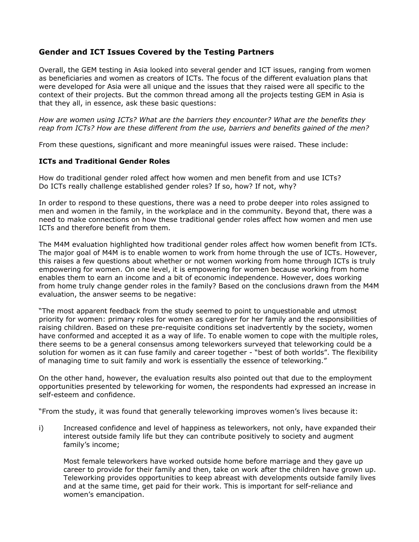# **Gender and ICT Issues Covered by the Testing Partners**

Overall, the GEM testing in Asia looked into several gender and ICT issues, ranging from women as beneficiaries and women as creators of ICTs. The focus of the different evaluation plans that were developed for Asia were all unique and the issues that they raised were all specific to the context of their projects. But the common thread among all the projects testing GEM in Asia is that they all, in essence, ask these basic questions:

*How are women using ICTs? What are the barriers they encounter? What are the benefits they reap from ICTs? How are these different from the use, barriers and benefits gained of the men?*

From these questions, significant and more meaningful issues were raised. These include:

### **ICTs and Traditional Gender Roles**

How do traditional gender roled affect how women and men benefit from and use ICTs? Do ICTs really challenge established gender roles? If so, how? If not, why?

In order to respond to these questions, there was a need to probe deeper into roles assigned to men and women in the family, in the workplace and in the community. Beyond that, there was a need to make connections on how these traditional gender roles affect how women and men use ICTs and therefore benefit from them.

The M4M evaluation highlighted how traditional gender roles affect how women benefit from ICTs. The major goal of M4M is to enable women to work from home through the use of ICTs. However, this raises a few questions about whether or not women working from home through ICTs is truly empowering for women. On one level, it is empowering for women because working from home enables them to earn an income and a bit of economic independence. However, does working from home truly change gender roles in the family? Based on the conclusions drawn from the M4M evaluation, the answer seems to be negative:

"The most apparent feedback from the study seemed to point to unquestionable and utmost priority for women: primary roles for women as caregiver for her family and the responsibilities of raising children. Based on these pre-requisite conditions set inadvertently by the society, women have conformed and accepted it as a way of life. To enable women to cope with the multiple roles, there seems to be a general consensus among teleworkers surveyed that teleworking could be a solution for women as it can fuse family and career together - "best of both worlds". The flexibility of managing time to suit family and work is essentially the essence of teleworking."

On the other hand, however, the evaluation results also pointed out that due to the employment opportunities presented by teleworking for women, the respondents had expressed an increase in self-esteem and confidence.

"From the study, it was found that generally teleworking improves women's lives because it:

i) Increased confidence and level of happiness as teleworkers, not only, have expanded their interest outside family life but they can contribute positively to society and augment family's income;

Most female teleworkers have worked outside home before marriage and they gave up career to provide for their family and then, take on work after the children have grown up. Teleworking provides opportunities to keep abreast with developments outside family lives and at the same time, get paid for their work. This is important for self-reliance and women's emancipation.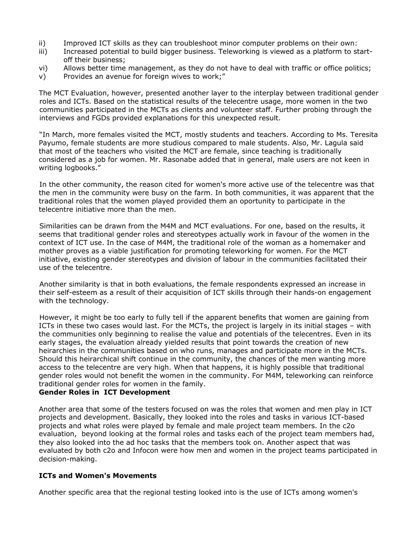- ii) Improved ICT skills as they can troubleshoot minor computer problems on their own:
- iii) Increased potential to build bigger business. Teleworking is viewed as a platform to startoff their business;
- vi) Allows better time management, as they do not have to deal with traffic or office politics;
- v) Provides an avenue for foreign wives to work;"

The MCT Evaluation, however, presented another layer to the interplay between traditional gender roles and ICTs. Based on the statistical results of the telecentre usage, more women in the two communities participated in the MCTs as clients and volunteer staff. Further probing through the interviews and FGDs provided explanations for this unexpected result.

"In March, more females visited the MCT, mostly students and teachers. According to Ms. Teresita Payumo, female students are more studious compared to male students. Also, Mr. Lagula said that most of the teachers who visited the MCT are female, since teaching is traditionally considered as a job for women. Mr. Rasonabe added that in general, male users are not keen in writing logbooks."

In the other community, the reason cited for women's more active use of the telecentre was that the men in the community were busy on the farm. In both communities, it was apparent that the traditional roles that the women played provided them an oportunity to participate in the telecentre initiative more than the men.

Similarities can be drawn from the M4M and MCT evaluations. For one, based on the results, it seems that traditional gender roles and stereotypes actually work in favour of the women in the context of ICT use. In the case of M4M, the traditional role of the woman as a homemaker and mother proves as a viable justification for promoting teleworking for women. For the MCT initiative, existing gender stereotypes and division of labour in the communities facilitated their use of the telecentre.

Another similarity is that in both evaluations, the female respondents expressed an increase in their self-esteem as a result of their acquisition of ICT skills through their hands-on engagement with the technology.

However, it might be too early to fully tell if the apparent benefits that women are gaining from ICTs in these two cases would last. For the MCTs, the project is largely in its initial stages – with the communities only beginning to realise the value and potentials of the telecentres. Even in its early stages, the evaluation already yielded results that point towards the creation of new heirarchies in the communities based on who runs, manages and participate more in the MCTs. Should this heirarchical shift continue in the community, the chances of the men wanting more access to the telecentre are very high. When that happens, it is highly possible that traditional gender roles would not benefit the women in the community. For M4M, teleworking can reinforce traditional gender roles for women in the family.

### **Gender Roles in ICT Development**

Another area that some of the testers focused on was the roles that women and men play in ICT projects and development. Basically, they looked into the roles and tasks in various ICT-based projects and what roles were played by female and male project team members. In the c2o evaluation, beyond looking at the formal roles and tasks each of the project team members had, they also looked into the ad hoc tasks that the members took on. Another aspect that was evaluated by both c2o and Infocon were how men and women in the project teams participated in decision-making.

### **ICTs and Women's Movements**

Another specific area that the regional testing looked into is the use of ICTs among women's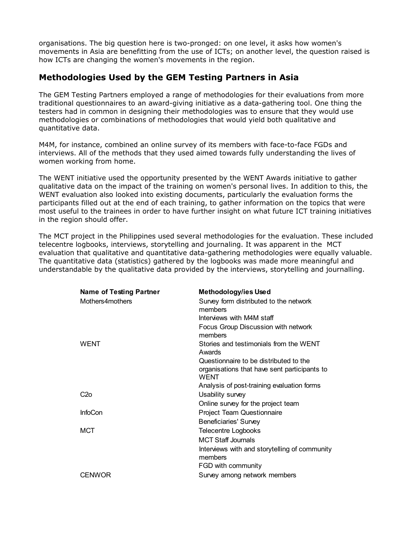organisations. The big question here is two-pronged: on one level, it asks how women's movements in Asia are benefitting from the use of ICTs; on another level, the question raised is how ICTs are changing the women's movements in the region.

# **Methodologies Used by the GEM Testing Partners in Asia**

The GEM Testing Partners employed a range of methodologies for their evaluations from more traditional questionnaires to an award-giving initiative as a data-gathering tool. One thing the testers had in common in designing their methodologies was to ensure that they would use methodologies or combinations of methodologies that would yield both qualitative and quantitative data.

M4M, for instance, combined an online survey of its members with face-to-face FGDs and interviews. All of the methods that they used aimed towards fully understanding the lives of women working from home.

The WENT initiative used the opportunity presented by the WENT Awards initiative to gather qualitative data on the impact of the training on women's personal lives. In addition to this, the WENT evaluation also looked into existing documents, particularly the evaluation forms the participants filled out at the end of each training, to gather information on the topics that were most useful to the trainees in order to have further insight on what future ICT training initiatives in the region should offer.

The MCT project in the Philippines used several methodologies for the evaluation. These included telecentre logbooks, interviews, storytelling and journaling. It was apparent in the MCT evaluation that qualitative and quantitative data-gathering methodologies were equally valuable. The quantitative data (statistics) gathered by the logbooks was made more meaningful and understandable by the qualitative data provided by the interviews, storytelling and journalling.

| Name of Testing Partner | Methodology/ies Used                                        |
|-------------------------|-------------------------------------------------------------|
| Mothers4mothers         | Survey form distributed to the network<br>members           |
|                         | Interviews with M4M staff                                   |
|                         | Focus Group Discussion with network<br>members              |
| <b>WENT</b>             | Stories and testimonials from the WENT<br>Awards            |
|                         | Questionnaire to be distributed to the                      |
|                         | organisations that have sent participants to<br><b>WFNT</b> |
|                         | Analysis of post-training evaluation forms                  |
| C <sub>2</sub> o        | Usability survey                                            |
|                         | Online survey for the project team                          |
| <b>InfoCon</b>          | Project Team Questionnaire                                  |
|                         | <b>Beneficiaries' Survey</b>                                |
| <b>MCT</b>              | <b>Telecentre Logbooks</b>                                  |
|                         | <b>MCT Staff Journals</b>                                   |
|                         | Interviews with and storytelling of community<br>members    |
|                         | FGD with community                                          |
| <b>CENWOR</b>           | Survey among network members                                |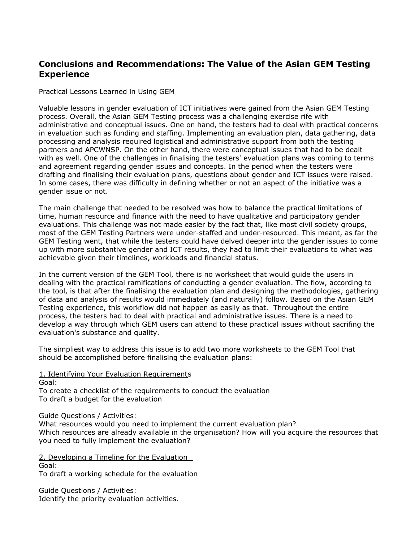# **Conclusions and Recommendations: The Value of the Asian GEM Testing Experience**

Practical Lessons Learned in Using GEM

Valuable lessons in gender evaluation of ICT initiatives were gained from the Asian GEM Testing process. Overall, the Asian GEM Testing process was a challenging exercise rife with administrative and conceptual issues. One on hand, the testers had to deal with practical concerns in evaluation such as funding and staffing. Implementing an evaluation plan, data gathering, data processing and analysis required logistical and administrative support from both the testing partners and APCWNSP. On the other hand, there were conceptual issues that had to be dealt with as well. One of the challenges in finalising the testers' evaluation plans was coming to terms and agreement regarding gender issues and concepts. In the period when the testers were drafting and finalising their evaluation plans, questions about gender and ICT issues were raised. In some cases, there was difficulty in defining whether or not an aspect of the initiative was a gender issue or not.

The main challenge that needed to be resolved was how to balance the practical limitations of time, human resource and finance with the need to have qualitative and participatory gender evaluations. This challenge was not made easier by the fact that, like most civil society groups, most of the GEM Testing Partners were under-staffed and under-resourced. This meant, as far the GEM Testing went, that while the testers could have delved deeper into the gender issues to come up with more substantive gender and ICT results, they had to limit their evaluations to what was achievable given their timelines, workloads and financial status.

In the current version of the GEM Tool, there is no worksheet that would guide the users in dealing with the practical ramifications of conducting a gender evaluation. The flow, according to the tool, is that after the finalising the evaluation plan and designing the methodologies, gathering of data and analysis of results would immediately (and naturally) follow. Based on the Asian GEM Testing experience, this workflow did not happen as easily as that. Throughout the entire process, the testers had to deal with practical and administrative issues. There is a need to develop a way through which GEM users can attend to these practical issues without sacrifing the evaluation's substance and quality.

The simpliest way to address this issue is to add two more worksheets to the GEM Tool that should be accomplished before finalising the evaluation plans:

1. Identifying Your Evaluation Requirements Goal: To create a checklist of the requirements to conduct the evaluation To draft a budget for the evaluation

Guide Questions / Activities:

What resources would you need to implement the current evaluation plan? Which resources are already available in the organisation? How will you acquire the resources that you need to fully implement the evaluation?

2. Developing a Timeline for the Evaluation Goal: To draft a working schedule for the evaluation

Guide Questions / Activities: Identify the priority evaluation activities.